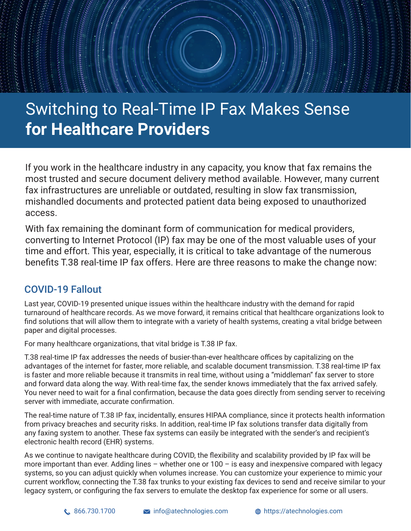# Switching to Real-Time IP Fax Makes Sense **for Healthcare Providers**

If you work in the healthcare industry in any capacity, you know that fax remains the most trusted and secure document delivery method available. However, many current fax infrastructures are unreliable or outdated, resulting in slow fax transmission, mishandled documents and protected patient data being exposed to unauthorized access.

With fax remaining the dominant form of communication for medical providers, converting to Internet Protocol (IP) fax may be one of the most valuable uses of your time and effort. This year, especially, it is critical to take advantage of the numerous benefits T.38 real-time IP fax offers. Here are three reasons to make the change now:

#### COVID-19 Fallout

Last year, COVID-19 presented unique issues within the healthcare industry with the demand for rapid turnaround of healthcare records. As we move forward, it remains critical that healthcare organizations look to find solutions that will allow them to integrate with a variety of health systems, creating a vital bridge between paper and digital processes.

For many healthcare organizations, that vital bridge is T.38 IP fax.

T.38 real-time IP fax addresses the needs of busier-than-ever healthcare offices by capitalizing on the advantages of the internet for faster, more reliable, and scalable document transmission. T.38 real-time IP fax is faster and more reliable because it transmits in real time, without using a "middleman" fax server to store and forward data along the way. With real-time fax, the sender knows immediately that the fax arrived safely. You never need to wait for a final confirmation, because the data goes directly from sending server to receiving server with immediate, accurate confirmation.

The real-time nature of T.38 IP fax, incidentally, ensures HIPAA compliance, since it protects health information from privacy breaches and security risks. In addition, real-time IP fax solutions transfer data digitally from any faxing system to another. These fax systems can easily be integrated with the sender's and recipient's electronic health record (EHR) systems.

As we continue to navigate healthcare during COVID, the flexibility and scalability provided by IP fax will be more important than ever. Adding lines – whether one or 100 – is easy and inexpensive compared with legacy systems, so you can adjust quickly when volumes increase. You can customize your experience to mimic your current workflow, connecting the T.38 fax trunks to your existing fax devices to send and receive similar to your legacy system, or configuring the fax servers to emulate the desktop fax experience for some or all users.